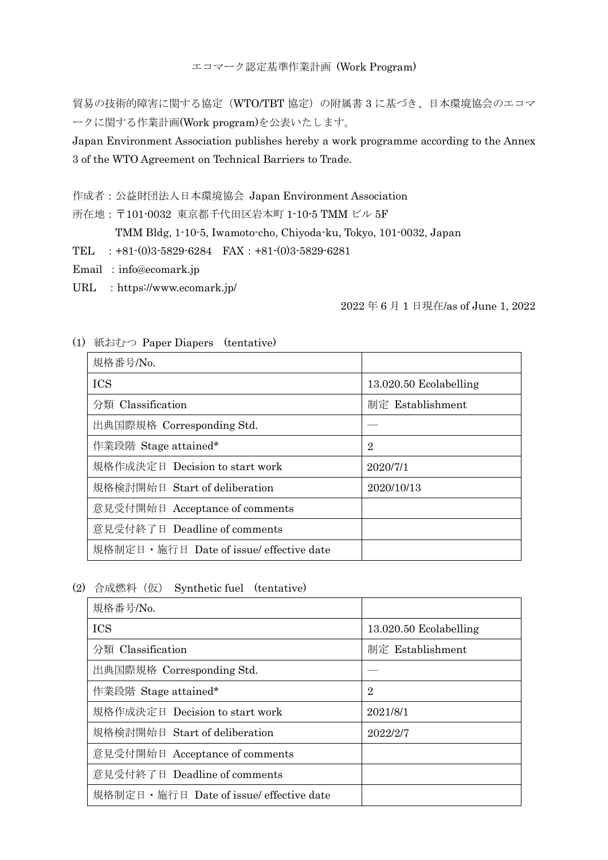貿易の技術的障害に関する協定(WTO/TBT 協定)の附属書 3 に基づき、日本環境協会のエコマ ークに関する作業計画(Work program)を公表いたします。

Japan Environment Association publishes hereby a work programme according to the Annex 3 of the WTO Agreement on Technical Barriers to Trade.

作成者:公益財団法人日本環境協会 Japan Environment Association

所在地:〒101-0032 東京都千代田区岩本町 1-10-5 TMM ビル 5F

TMM Bldg, 1-10-5, Iwamoto-cho, Chiyoda-ku, Tokyo, 101-0032, Japan

TEL :+81-(0)3-5829-6284 FAX:+81-(0)3-5829-6281

Email : info@ecomark.jp

URL :https://www.ecomark.jp/

2022 年 6 月 1 日現在/as of June 1, 2022

| $\mu$ $\sim$ 1 aper Diapers (definative)  |                          |
|-------------------------------------------|--------------------------|
| 規格番号/No.                                  |                          |
| <b>ICS</b>                                | $13.020.50$ Ecolabelling |
| 分類 Classification                         | 制定 Establishment         |
| 出典国際規格 Corresponding Std.                 |                          |
| 作業段階 Stage attained*                      | $\overline{2}$           |
| 規格作成決定日 Decision to start work            | 2020/7/1                 |
| 規格検討開始日 Start of deliberation             | 2020/10/13               |
| 意見受付開始日 Acceptance of comments            |                          |
| 意見受付終了日 Deadline of comments              |                          |
| 規格制定日 · 施行日 Date of issue/ effective date |                          |

(1) 紙おむつ Paper Diapers (tentative)

(2) 合成燃料(仮) Synthetic fuel (tentative)

| 規格番号/No.                                  |                          |
|-------------------------------------------|--------------------------|
| <b>ICS</b>                                | $13.020.50$ Ecolabelling |
| 分類 Classification                         | 制定 Establishment         |
| 出典国際規格 Corresponding Std.                 |                          |
| 作業段階 Stage attained*                      | $\overline{2}$           |
| 規格作成決定日 Decision to start work            | 2021/8/1                 |
| 規格検討開始日 Start of deliberation             | 2022/2/7                 |
| 意見受付開始日 Acceptance of comments            |                          |
| 意見受付終了日 Deadline of comments              |                          |
| 規格制定日 · 施行日 Date of issue/ effective date |                          |